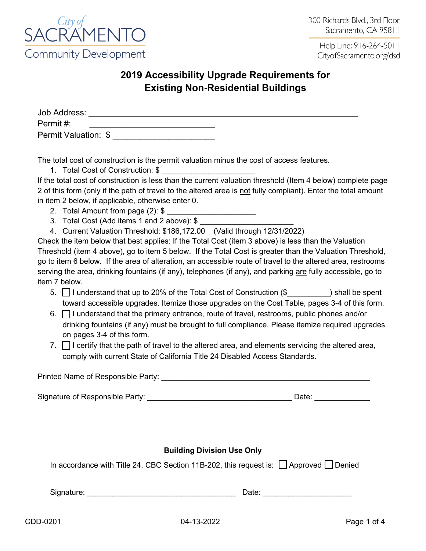

## **2019 Accessibility Upgrade Requirements for Existing Non-Residential Buildings**

| Job Address:         |  |  |
|----------------------|--|--|
| Permit #:            |  |  |
| Permit Valuation: \$ |  |  |

The total cost of construction is the permit valuation minus the cost of access features.

1. Total Cost of Construction: \$ \_\_\_\_\_\_\_\_\_\_\_\_\_\_\_\_\_\_\_\_\_\_

If the total cost of construction is less than the current valuation threshold (Item 4 below) complete page 2 of this form (only if the path of travel to the altered area is not fully compliant). Enter the total amount in item 2 below, if applicable, otherwise enter 0.

- 2. Total Amount from page (2): \$
- 3. Total Cost (Add items 1 and 2 above): \$
- 4. Current Valuation Threshold: \$186,172.00 (Valid through 12/31/2022)

Check the item below that best applies: If the Total Cost (item 3 above) is less than the Valuation Threshold (item 4 above), go to item 5 below. If the Total Cost is greater than the Valuation Threshold, go to item 6 below. If the area of alteration, an accessible route of travel to the altered area, restrooms serving the area, drinking fountains (if any), telephones (if any), and parking are fully accessible, go to item 7 below.

- 5. □ I understand that up to 20% of the Total Cost of Construction (\$ ) shall be spent toward accessible upgrades. Itemize those upgrades on the Cost Table, pages 3-4 of this form.
- 6. ☐ I understand that the primary entrance, route of travel, restrooms, public phones and/or drinking fountains (if any) must be brought to full compliance. Please itemize required upgrades on pages 3-4 of this form.
- 7.  $\Box$  I certify that the path of travel to the altered area, and elements servicing the altered area, comply with current State of California Title 24 Disabled Access Standards.

| Printed Name of Responsible Party: |       |  |  |  |
|------------------------------------|-------|--|--|--|
| Signature of Responsible Party:    | Date: |  |  |  |
|                                    |       |  |  |  |

## **Building Division Use Only** In accordance with Title 24, CBC Section 11B-202, this request is:  $\Box$  Approved  $\Box$  Denied

Signature: \_\_\_\_\_\_\_\_\_\_\_\_\_\_\_\_\_\_\_\_\_\_\_\_\_\_\_\_\_\_\_\_\_\_\_ Date: \_\_\_\_\_\_\_\_\_\_\_\_\_\_\_\_\_\_\_\_\_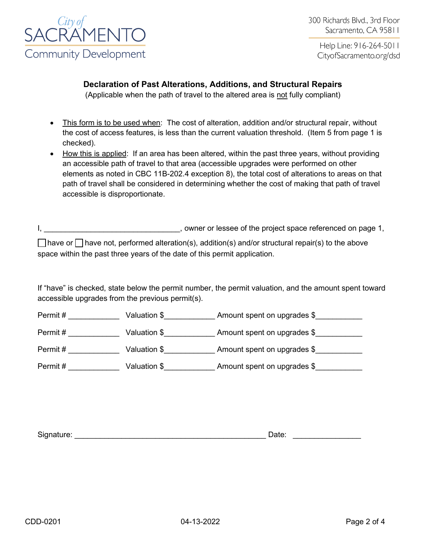

## **Declaration of Past Alterations, Additions, and Structural Repairs**

(Applicable when the path of travel to the altered area is not fully compliant)

- This form is to be used when: The cost of alteration, addition and/or structural repair, without the cost of access features, is less than the current valuation threshold. (Item 5 from page 1 is checked).
- How this is applied: If an area has been altered, within the past three years, without providing an accessible path of travel to that area (accessible upgrades were performed on other elements as noted in CBC 11B-202.4 exception 8), the total cost of alterations to areas on that path of travel shall be considered in determining whether the cost of making that path of travel accessible is disproportionate.

I, the project space referenced on page 1, owner or lessee of the project space referenced on page 1,

☐ have or ☐ have not, performed alteration(s), addition(s) and/or structural repair(s) to the above space within the past three years of the date of this permit application.

If "have" is checked, state below the permit number, the permit valuation, and the amount spent toward accessible upgrades from the previous permit(s).

| Permit # | Valuation \$ | Amount spent on upgrades \$ |
|----------|--------------|-----------------------------|
| Permit # | Valuation \$ | Amount spent on upgrades \$ |
| Permit#  | Valuation \$ | Amount spent on upgrades \$ |
| Permit # | Valuation \$ | Amount spent on upgrades \$ |

| Signature:<br>Jate |
|--------------------|
|--------------------|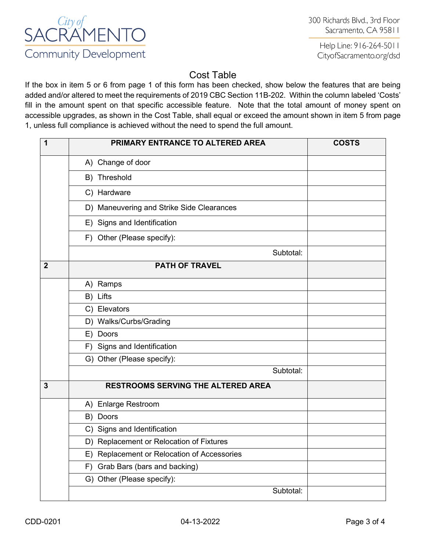

## Cost Table

If the box in item 5 or 6 from page 1 of this form has been checked, show below the features that are being added and/or altered to meet the requirements of 2019 CBC Section 11B-202. Within the column labeled 'Costs' fill in the amount spent on that specific accessible feature. Note that the total amount of money spent on accessible upgrades, as shown in the Cost Table, shall equal or exceed the amount shown in item 5 from page 1, unless full compliance is achieved without the need to spend the full amount.

| 1              | PRIMARY ENTRANCE TO ALTERED AREA               | <b>COSTS</b> |
|----------------|------------------------------------------------|--------------|
|                | A) Change of door                              |              |
|                | B) Threshold                                   |              |
|                | C) Hardware                                    |              |
|                | D) Maneuvering and Strike Side Clearances      |              |
|                | E) Signs and Identification                    |              |
|                | F) Other (Please specify):                     |              |
|                | Subtotal:                                      |              |
| $\overline{2}$ | <b>PATH OF TRAVEL</b>                          |              |
|                | A) Ramps                                       |              |
|                | B) Lifts                                       |              |
|                | C) Elevators                                   |              |
|                | D) Walks/Curbs/Grading                         |              |
|                | E) Doors                                       |              |
|                | F) Signs and Identification                    |              |
|                | G) Other (Please specify):                     |              |
|                | Subtotal:                                      |              |
| $\mathbf{3}$   | <b>RESTROOMS SERVING THE ALTERED AREA</b>      |              |
|                | A) Enlarge Restroom                            |              |
|                | B) Doors                                       |              |
|                | C) Signs and Identification                    |              |
|                | D) Replacement or Relocation of Fixtures       |              |
|                | Replacement or Relocation of Accessories<br>E) |              |
|                | Grab Bars (bars and backing)<br>F)             |              |
|                | G) Other (Please specify):                     |              |
|                | Subtotal:                                      |              |